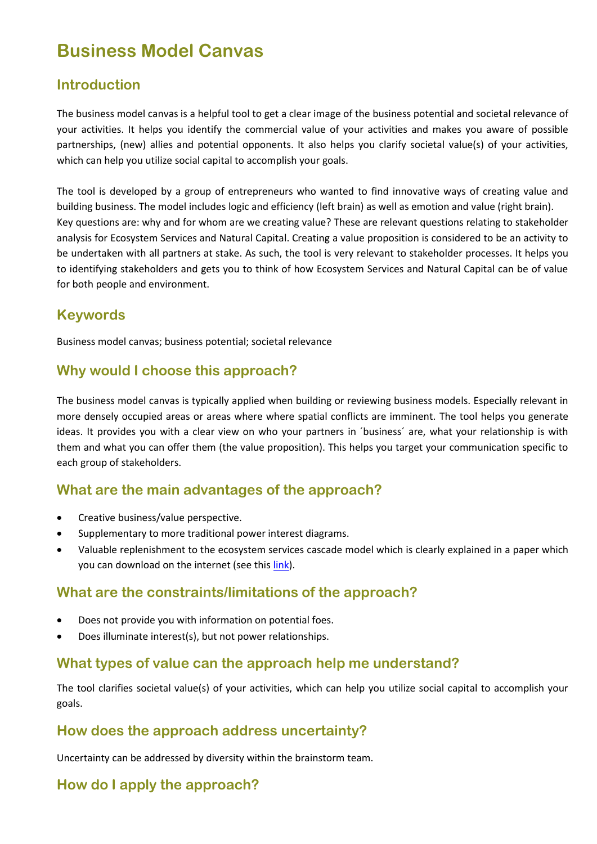# **Business Model Canvas**

## **Introduction**

The business model canvas is a helpful tool to get a clear image of the business potential and societal relevance of your activities. It helps you identify the commercial value of your activities and makes you aware of possible partnerships, (new) allies and potential opponents. It also helps you clarify societal value(s) of your activities, which can help you utilize social capital to accomplish your goals.

The tool is developed by a group of entrepreneurs who wanted to find innovative ways of creating value and building business. The model includes logic and efficiency (left brain) as well as emotion and value (right brain). Key questions are: why and for whom are we creating value? These are relevant questions relating to stakeholder analysis for Ecosystem Services and Natural Capital. Creating a value proposition is considered to be an activity to be undertaken with all partners at stake. As such, the tool is very relevant to stakeholder processes. It helps you to identifying stakeholders and gets you to think of how Ecosystem Services and Natural Capital can be of value for both people and environment.

## **Keywords**

Business model canvas; business potential; societal relevance

### **Why would I choose this approach?**

The business model canvas is typically applied when building or reviewing business models. Especially relevant in more densely occupied areas or areas where where spatial conflicts are imminent. The tool helps you generate ideas. It provides you with a clear view on who your partners in ´business´ are, what your relationship is with them and what you can offer them (the value proposition). This helps you target your communication specific to each group of stakeholders.

## **What are the main advantages of the approach?**

- Creative business/value perspective.
- Supplementary to more traditional power interest diagrams.
- Valuable replenishment to the ecosystem services cascade model which is clearly explained in a paper which you can download on the internet (see this [link\)](http://www.google.nl/url?sa=t&rct=j&q=&esrc=s&frm=1&source=web&cd=1&cad=rja&uact=8&ved=0CDMQFjAA&url=http%3A%2F%2Fwww.openness-project.eu%2Fsites%2Fdefault%2Ffiles%2FOpenNESS_brief_01.pdf&ei=xdwiU5OuO6HsywPby4CwBA&usg=AFQjCNE9Mvi7gdkQ0hRjmoK1e_iIGVWRvA&bvm=bv.62922401,d.bGQ).

## **What are the constraints/limitations of the approach?**

- Does not provide you with information on potential foes.
- Does illuminate interest(s), but not power relationships.

## **What types of value can the approach help me understand?**

The tool clarifies societal value(s) of your activities, which can help you utilize social capital to accomplish your goals.

## **How does the approach address uncertainty?**

Uncertainty can be addressed by diversity within the brainstorm team.

## **How do I apply the approach?**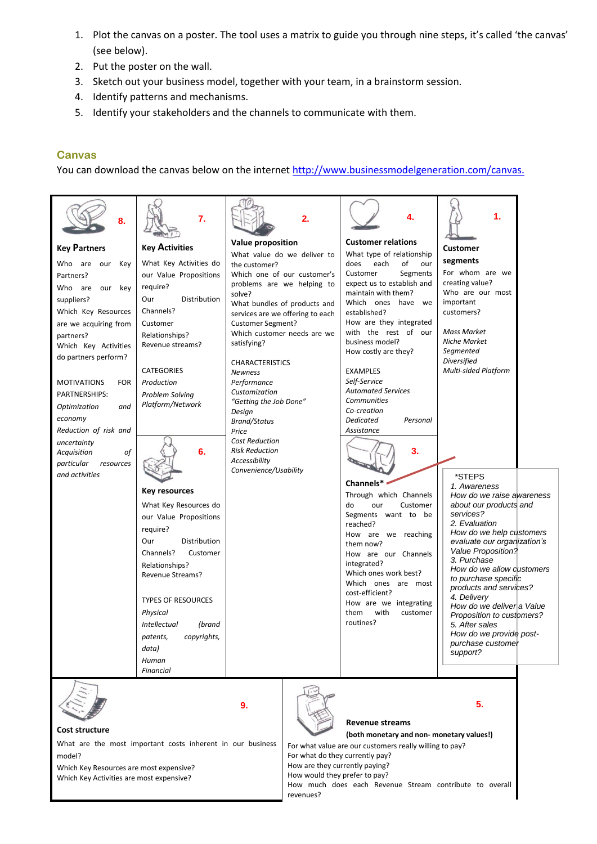- 1. Plot the canvas on a poster. The tool uses a matrix to guide you through nine steps, it's called 'the canvas' (see below).
- 2. Put the poster on the wall.
- 3. Sketch out your business model, together with your team, in a brainstorm session.
- 4. Identify patterns and mechanisms.
- 5. Identify your stakeholders and the channels to communicate with them.

#### **Canvas**

You can download the canvas below on the interne[t http://www.businessmodelgeneration.com/canvas.](http://www.businessmodelgeneration.com/canvas)



Which Key Resources are most expensive? Which Key Activities are most expensive?

How would they prefer to pay? How much does each Revenue Stream contribute to overall revenues?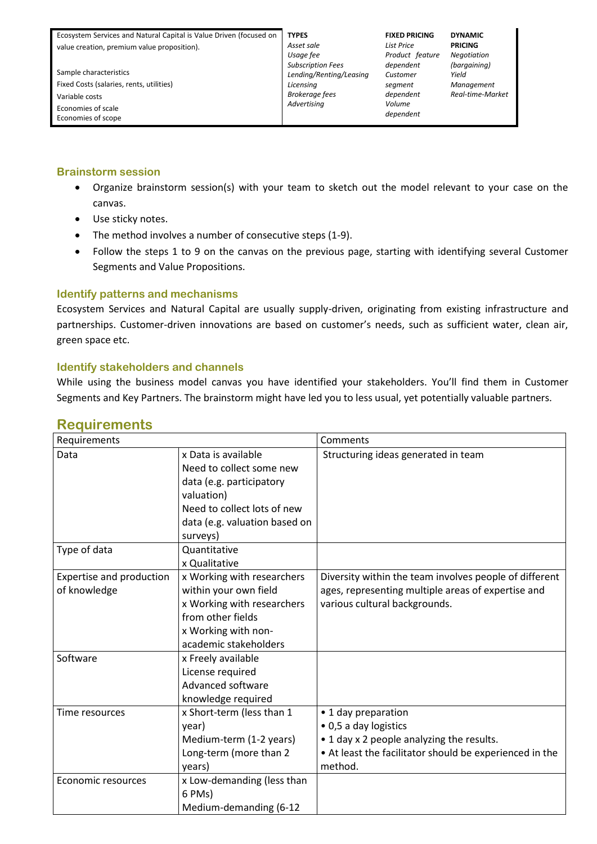Ecosystem Services and Natural Capital is Value Driven (focused on value creation, premium value proposition).

Sample characteristics Fixed Costs (salaries, rents, utilities) Variable costs Economies of scale Economies of scope

**TYPES** *Asset sale Usage fee Subscription Fees Lending/Renting/Leasing Licensing Brokerage fees Advertising*

**FIXED PRICING** *List Price Product feature dependent Customer segment dependent Volume dependent*

**DYNAMIC PRICING** *Negotiation (bargaining) Yield Management Real-time-Market*

#### **Brainstorm session**

- Organize brainstorm session(s) with your team to sketch out the model relevant to your case on the canvas.
- Use sticky notes.
- The method involves a number of consecutive steps (1-9).
- Follow the steps 1 to 9 on the canvas on the previous page, starting with identifying several Customer Segments and Value Propositions.

### **Identify patterns and mechanisms**

Ecosystem Services and Natural Capital are usually supply-driven, originating from existing infrastructure and partnerships. Customer-driven innovations are based on customer's needs, such as sufficient water, clean air, green space etc.

#### **Identify stakeholders and channels**

While using the business model canvas you have identified your stakeholders. You'll find them in Customer Segments and Key Partners. The brainstorm might have led you to less usual, yet potentially valuable partners.

| Requirements                             |                                                                                                                                                                       | Comments                                                                                                                                                        |
|------------------------------------------|-----------------------------------------------------------------------------------------------------------------------------------------------------------------------|-----------------------------------------------------------------------------------------------------------------------------------------------------------------|
| Data                                     | x Data is available<br>Need to collect some new<br>data (e.g. participatory<br>valuation)<br>Need to collect lots of new<br>data (e.g. valuation based on<br>surveys) | Structuring ideas generated in team                                                                                                                             |
| Type of data                             | Quantitative<br>x Qualitative                                                                                                                                         |                                                                                                                                                                 |
| Expertise and production<br>of knowledge | x Working with researchers<br>within your own field<br>x Working with researchers<br>from other fields<br>x Working with non-<br>academic stakeholders                | Diversity within the team involves people of different<br>ages, representing multiple areas of expertise and<br>various cultural backgrounds.                   |
| Software                                 | x Freely available<br>License required<br>Advanced software<br>knowledge required                                                                                     |                                                                                                                                                                 |
| Time resources                           | x Short-term (less than 1<br>year)<br>Medium-term (1-2 years)<br>Long-term (more than 2<br>years)                                                                     | • 1 day preparation<br>• 0,5 a day logistics<br>• 1 day x 2 people analyzing the results.<br>• At least the facilitator should be experienced in the<br>method. |
| Economic resources                       | x Low-demanding (less than<br>6 PMs)<br>Medium-demanding (6-12                                                                                                        |                                                                                                                                                                 |

### **Requirements**